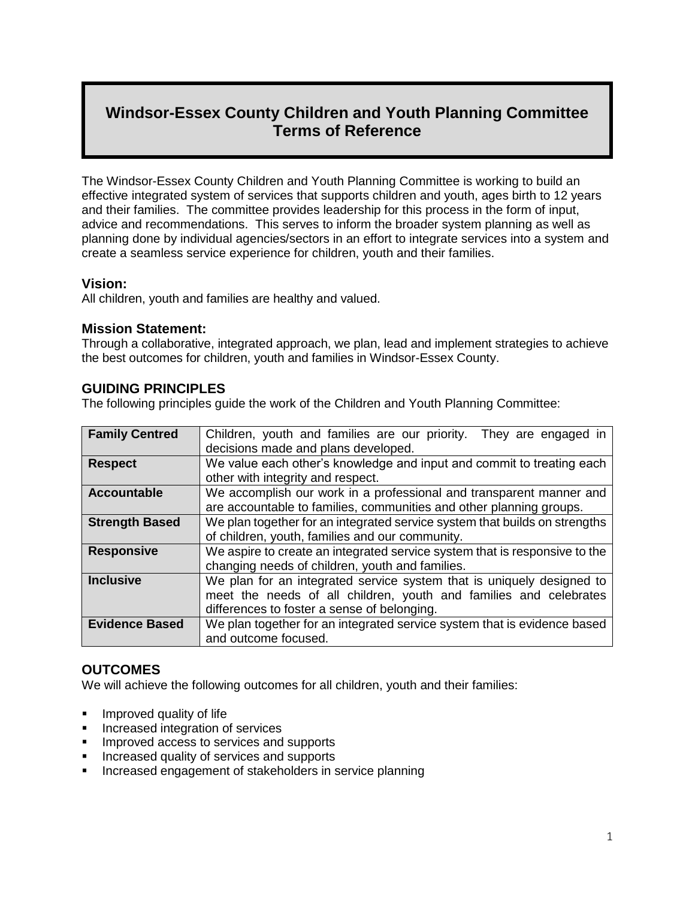# **Windsor-Essex County Children and Youth Planning Committee Terms of Reference**

The Windsor-Essex County Children and Youth Planning Committee is working to build an effective integrated system of services that supports children and youth, ages birth to 12 years and their families. The committee provides leadership for this process in the form of input, advice and recommendations. This serves to inform the broader system planning as well as planning done by individual agencies/sectors in an effort to integrate services into a system and create a seamless service experience for children, youth and their families.

#### **Vision:**

All children, youth and families are healthy and valued.

### **Mission Statement:**

Through a collaborative, integrated approach, we plan, lead and implement strategies to achieve the best outcomes for children, youth and families in Windsor-Essex County.

## **GUIDING PRINCIPLES**

The following principles guide the work of the Children and Youth Planning Committee:

| <b>Family Centred</b> | Children, youth and families are our priority.<br>They are engaged in      |
|-----------------------|----------------------------------------------------------------------------|
|                       | decisions made and plans developed.                                        |
| <b>Respect</b>        | We value each other's knowledge and input and commit to treating each      |
|                       | other with integrity and respect.                                          |
| <b>Accountable</b>    | We accomplish our work in a professional and transparent manner and        |
|                       | are accountable to families, communities and other planning groups.        |
| <b>Strength Based</b> | We plan together for an integrated service system that builds on strengths |
|                       | of children, youth, families and our community.                            |
| <b>Responsive</b>     | We aspire to create an integrated service system that is responsive to the |
|                       | changing needs of children, youth and families.                            |
| <b>Inclusive</b>      | We plan for an integrated service system that is uniquely designed to      |
|                       | meet the needs of all children, youth and families and celebrates          |
|                       | differences to foster a sense of belonging.                                |
| <b>Evidence Based</b> | We plan together for an integrated service system that is evidence based   |
|                       | and outcome focused.                                                       |

### **OUTCOMES**

We will achieve the following outcomes for all children, youth and their families:

- Improved quality of life
- **Increased integration of services**
- **IMPROVED ACCESS to services and supports**
- Increased quality of services and supports
- Increased engagement of stakeholders in service planning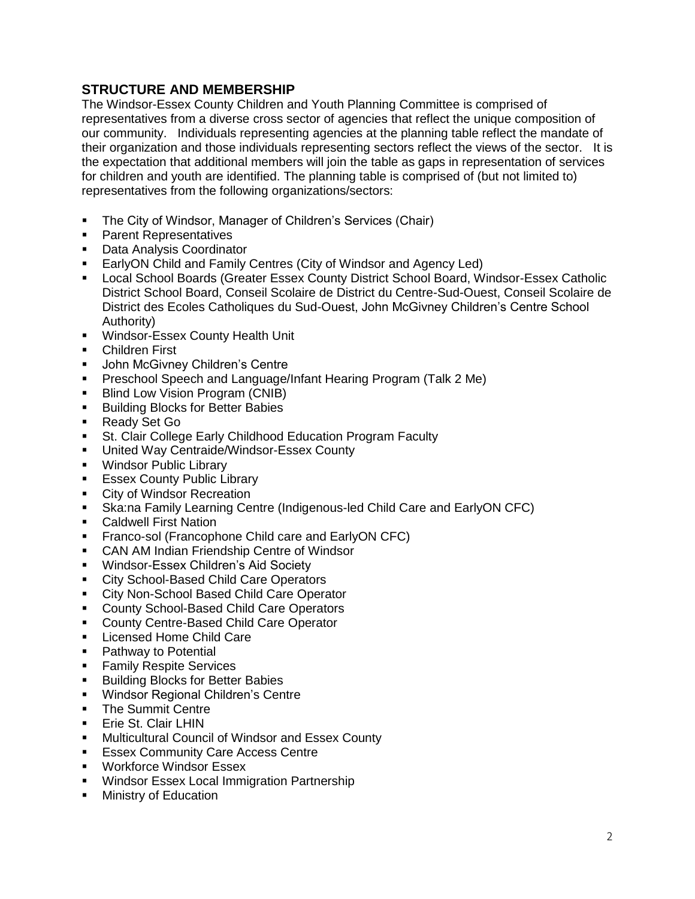## **STRUCTURE AND MEMBERSHIP**

The Windsor-Essex County Children and Youth Planning Committee is comprised of representatives from a diverse cross sector of agencies that reflect the unique composition of our community. Individuals representing agencies at the planning table reflect the mandate of their organization and those individuals representing sectors reflect the views of the sector. It is the expectation that additional members will join the table as gaps in representation of services for children and youth are identified. The planning table is comprised of (but not limited to) representatives from the following organizations/sectors:

- The City of Windsor, Manager of Children's Services (Chair)
- **Parent Representatives**
- **-** Data Analysis Coordinator
- EarlyON Child and Family Centres (City of Windsor and Agency Led)
- Local School Boards (Greater Essex County District School Board, Windsor-Essex Catholic District School Board, Conseil Scolaire de District du Centre-Sud-Ouest, Conseil Scolaire de District des Ecoles Catholiques du Sud-Ouest, John McGivney Children's Centre School Authority)
- **Windsor-Essex County Health Unit**
- **EXEC** Children First
- **John McGivney Children's Centre**
- **Preschool Speech and Language/Infant Hearing Program (Talk 2 Me)**
- **Blind Low Vision Program (CNIB)**
- Building Blocks for Better Babies
- Ready Set Go
- **St. Clair College Early Childhood Education Program Faculty**
- **United Way Centraide/Windsor-Essex County**
- **Windsor Public Library**
- **Essex County Public Library**
- **City of Windsor Recreation**
- Ska:na Family Learning Centre (Indigenous-led Child Care and EarlyON CFC)
- Caldwell First Nation
- Franco-sol (Francophone Child care and EarlyON CFC)
- **CAN AM Indian Friendship Centre of Windsor**
- **Windsor-Essex Children's Aid Society**
- **EXECT:** City School-Based Child Care Operators
- **EXECT:** City Non-School Based Child Care Operator
- **County School-Based Child Care Operators**
- **County Centre-Based Child Care Operator**
- **Licensed Home Child Care**
- Pathway to Potential
- **Family Respite Services**
- **Building Blocks for Better Babies**
- **Windsor Regional Children's Centre**
- The Summit Centre
- **Erie St. Clair LHIN**
- Multicultural Council of Windsor and Essex County
- Essex Community Care Access Centre
- **Workforce Windsor Essex**
- **Windsor Essex Local Immigration Partnership**
- Ministry of Education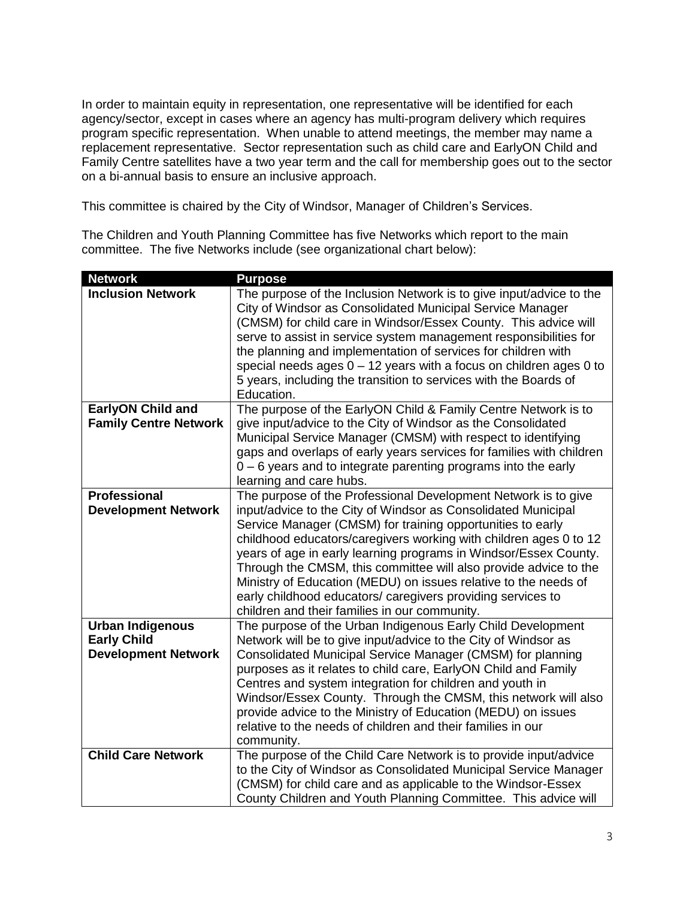In order to maintain equity in representation, one representative will be identified for each agency/sector, except in cases where an agency has multi-program delivery which requires program specific representation. When unable to attend meetings, the member may name a replacement representative. Sector representation such as child care and EarlyON Child and Family Centre satellites have a two year term and the call for membership goes out to the sector on a bi-annual basis to ensure an inclusive approach.

This committee is chaired by the City of Windsor, Manager of Children's Services.

The Children and Youth Planning Committee has five Networks which report to the main committee. The five Networks include (see organizational chart below):

| <b>Network</b>               | <b>Purpose</b>                                                                                                                                                                                                                                                                                                                                                                                                                                                                                      |
|------------------------------|-----------------------------------------------------------------------------------------------------------------------------------------------------------------------------------------------------------------------------------------------------------------------------------------------------------------------------------------------------------------------------------------------------------------------------------------------------------------------------------------------------|
| <b>Inclusion Network</b>     | The purpose of the Inclusion Network is to give input/advice to the<br>City of Windsor as Consolidated Municipal Service Manager<br>(CMSM) for child care in Windsor/Essex County. This advice will<br>serve to assist in service system management responsibilities for<br>the planning and implementation of services for children with<br>special needs ages $0 - 12$ years with a focus on children ages 0 to<br>5 years, including the transition to services with the Boards of<br>Education. |
| <b>EarlyON Child and</b>     | The purpose of the EarlyON Child & Family Centre Network is to                                                                                                                                                                                                                                                                                                                                                                                                                                      |
| <b>Family Centre Network</b> | give input/advice to the City of Windsor as the Consolidated                                                                                                                                                                                                                                                                                                                                                                                                                                        |
|                              | Municipal Service Manager (CMSM) with respect to identifying                                                                                                                                                                                                                                                                                                                                                                                                                                        |
|                              | gaps and overlaps of early years services for families with children<br>$0 - 6$ years and to integrate parenting programs into the early                                                                                                                                                                                                                                                                                                                                                            |
|                              | learning and care hubs.                                                                                                                                                                                                                                                                                                                                                                                                                                                                             |
| <b>Professional</b>          | The purpose of the Professional Development Network is to give                                                                                                                                                                                                                                                                                                                                                                                                                                      |
| <b>Development Network</b>   | input/advice to the City of Windsor as Consolidated Municipal                                                                                                                                                                                                                                                                                                                                                                                                                                       |
|                              | Service Manager (CMSM) for training opportunities to early                                                                                                                                                                                                                                                                                                                                                                                                                                          |
|                              | childhood educators/caregivers working with children ages 0 to 12                                                                                                                                                                                                                                                                                                                                                                                                                                   |
|                              | years of age in early learning programs in Windsor/Essex County.                                                                                                                                                                                                                                                                                                                                                                                                                                    |
|                              | Through the CMSM, this committee will also provide advice to the                                                                                                                                                                                                                                                                                                                                                                                                                                    |
|                              | Ministry of Education (MEDU) on issues relative to the needs of<br>early childhood educators/ caregivers providing services to                                                                                                                                                                                                                                                                                                                                                                      |
|                              | children and their families in our community.                                                                                                                                                                                                                                                                                                                                                                                                                                                       |
| <b>Urban Indigenous</b>      | The purpose of the Urban Indigenous Early Child Development                                                                                                                                                                                                                                                                                                                                                                                                                                         |
| <b>Early Child</b>           | Network will be to give input/advice to the City of Windsor as                                                                                                                                                                                                                                                                                                                                                                                                                                      |
| <b>Development Network</b>   | Consolidated Municipal Service Manager (CMSM) for planning                                                                                                                                                                                                                                                                                                                                                                                                                                          |
|                              | purposes as it relates to child care, EarlyON Child and Family                                                                                                                                                                                                                                                                                                                                                                                                                                      |
|                              | Centres and system integration for children and youth in                                                                                                                                                                                                                                                                                                                                                                                                                                            |
|                              | Windsor/Essex County. Through the CMSM, this network will also                                                                                                                                                                                                                                                                                                                                                                                                                                      |
|                              | provide advice to the Ministry of Education (MEDU) on issues                                                                                                                                                                                                                                                                                                                                                                                                                                        |
|                              | relative to the needs of children and their families in our<br>community.                                                                                                                                                                                                                                                                                                                                                                                                                           |
| <b>Child Care Network</b>    | The purpose of the Child Care Network is to provide input/advice                                                                                                                                                                                                                                                                                                                                                                                                                                    |
|                              | to the City of Windsor as Consolidated Municipal Service Manager                                                                                                                                                                                                                                                                                                                                                                                                                                    |
|                              | (CMSM) for child care and as applicable to the Windsor-Essex                                                                                                                                                                                                                                                                                                                                                                                                                                        |
|                              | County Children and Youth Planning Committee. This advice will                                                                                                                                                                                                                                                                                                                                                                                                                                      |